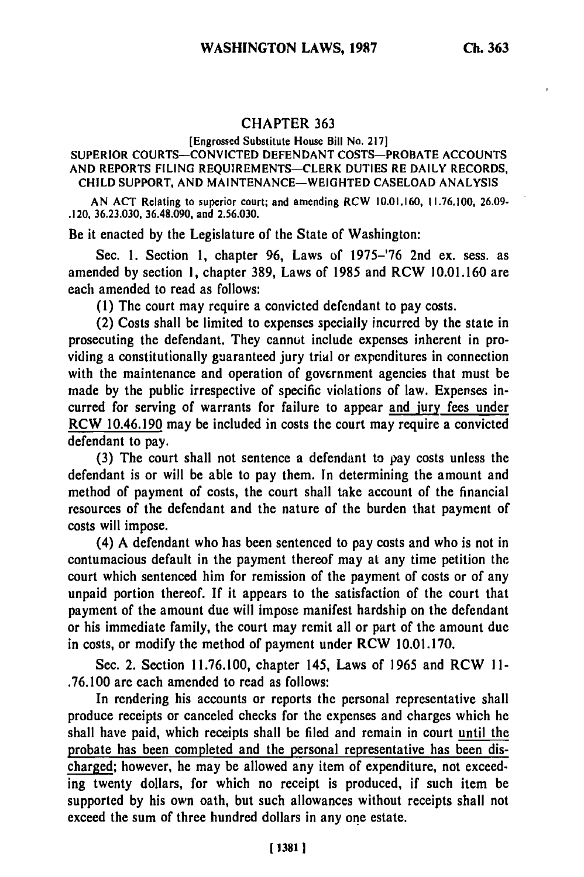## **CHAPTER 363**

## [Engrossed Substitute House Bill No. 217]

## SUPERIOR **COURTS-CONVICTED DEFENDANT** COSTS-PROBATE **ACCOUNTS AND** REPORTS **FILING** REQUIREMENTS-CLERK **DUTIES** RE DAILY RECORDS, **CHILD** SUPPORT, **AND MAINTENANCE-WEIGHTED CASELOAD ANALYSIS**

**AN ACT** Relating **to** superior court; and amending RCW **10.01.160, 11.76.100, 26.09-** .120, **36.23.030, 36.48.090,** and **2.56.030.**

Be it enacted by the Legislature of the State of Washington:

Sec. 1. Section **1,** chapter **96,** Laws of 1975-'76 2nd ex. sess, as amended by section **1,** chapter 389, Laws of 1985 and RCW 10.01.160 are each amended to read as follows:

**(1)** The court may require a convicted defendant to pay costs.

(2) Costs shall be limited to expenses specially incurred **by** the state in prosecuting the defendant. They cannot include expenses inherent in providing a constitutionally guaranteed jury trial or expcnditures in connection with the maintenance and operation of government agencies that must be made by the public irrespective of specific violations of law. Expenses incurred for serving of warrants for failure to appear and jury fees under RCW 10.46.190 may be included in costs the court may require a convicted defendant to pay.

**(3)** The court shall not sentence a defendant to pay costs unless the defendant is or will be able to pay them. In determining the amount and method of payment of costs, the court shall take account of the financial resources of the defendant and the nature of the burden that payment of costs will impose.

(4) A defendant who has been sentenced to pay costs and who is not in contumacious default in the payment thereof may at any time petition the court which sentenced him for remission of the payment of costs or of any unpaid portion thereof. **If** it appears to the satisfaction of the court that payment of the amount due will impose manifest hardship on the defendant or his immediate family, the court may remit all or part of the amount due in costs, or modify the method of payment under RCW 10.01.170.

Sec. 2. Section 11.76.100, chapter 145, Laws of 1965 and RCW **II -** .76.100 are each amended to read as follows:

In rendering his accounts or reports the personal representative shall produce receipts or canceled checks for the expenses and charges which he shall have paid, which receipts shall be filed and remain in court until the probate has been completed and the personal representative has been discharged; however, he may be allowed any item of expenditure, not exceeding twenty dollars, for which no receipt is produced, if such item be supported **by** his own oath, but such allowances without receipts shall not exceed the sum of three hundred dollars in any one estate.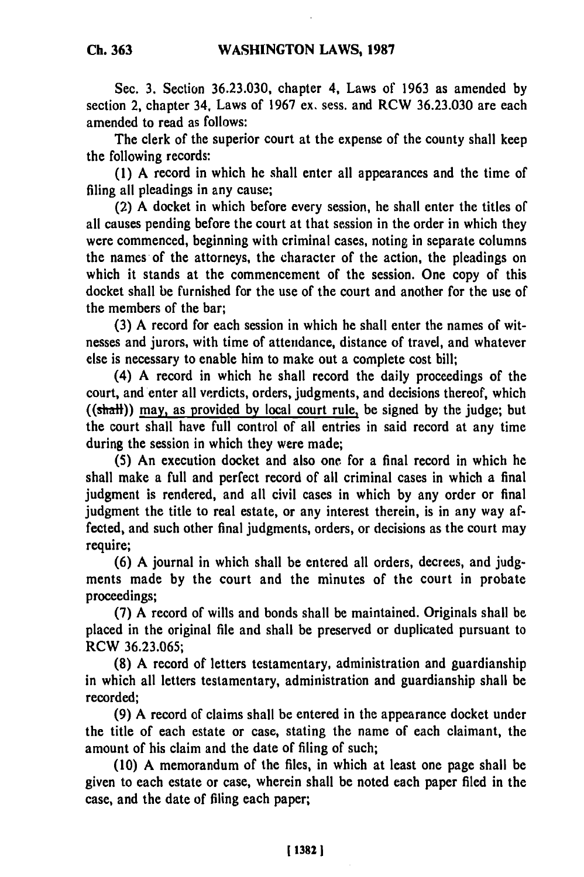Sec. **3.** Section **36.23.030,** chapter 4, Laws of **1963** as amended **by** section 2, chapter 34, Laws of **1967** ex. sess. and RCW **36.23.030** are each amended to read as follows:

The clerk of the superior court at the expense of the county shall keep the following records:

**(1) A** record in which he shall enter all appearances and the time of filing all pleadings in any cause;

(2) **A** docket in which before every session, he shall enter the titles of all causes pending before the court at that session in the order in which they were commenced, beginning with criminal cases, noting in separate columns the names of the attorneys, the character of the action, the pleadings on which it stands at the commencement of the session. One copy of this docket shall be furnished for the use of the court and another for the use of the members of the bar;

**(3) A** record for each session in which he shall enter the names of witnesses and jurors, with time of attendance, distance of travel, and whatever else is necessary to enable him to make out a complete cost bill;

(4) **A** record in which he shall record the daily proceedings of the court, and enter all verdicts, orders, judgments, and decisions thereof, which ((shall)) may, as provided **by** local court rule, be signed **by** the judge; but the court shall have full control of all entries in said record at any time during the session in which they were made;

**(5)** An execution docket and also one. for a final record in which he shall make a full and perfect record of all criminal cases in which a final judgment is rendered, and all civil cases in which **by** any order or final judgment the title to real estate, or any interest therein, is in any way affected, and such other final judgments, orders, or decisions as the court may require;

**(6) A** journal in which shall be entered all orders, decrees, and **judg**ments made **by** the court and the minutes of the court in probate proceedings;

**(7) A** record of wills and bonds shall be maintained. Originals shall be placed in the original file and shall be preserved or duplicated pursuant to RCW **36.23.065;**

**(8) A** record of letters testamentary, administration and guardianship in which all letters testamentary, administration and guardianship shall be recorded;

**(9) A** record of claims shall be entered in the appearance docket under the title of each estate or case, stating the name of each claimant, the amount of his claim and the date of filing of such;

**(10) A** memorandum of the files, in which at least one page shall be given to each estate or case, wherein shall be noted each paper filed in the case, and the date of filing each paper;

**! 1382 1**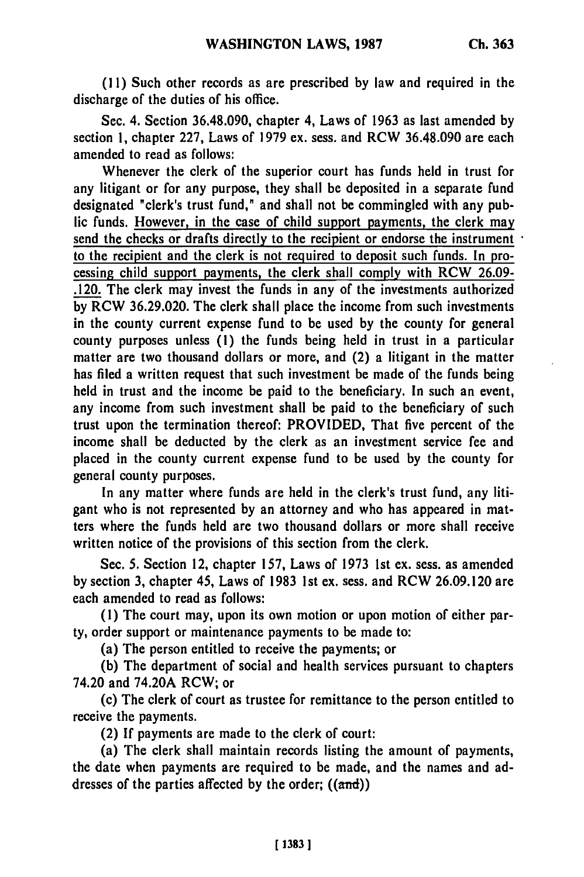**(11)** Such other records as are prescribed **by** law and required in the discharge of the duties of his office.

Sec. 4. Section **36.48.090,** chapter 4, Laws of **1963** as last amended **by** section **1,** chapter **227,** Laws of **1979** ex. sess. and RCW **36.48.090** are each amended to read as follows:

Whenever the clerk of the superior court has funds held in trust for any litigant or for any purpose, they shall be deposited in a separate fund designated "clerk's trust fund," and shall not be commingled with any public funds. However, in the case of child support payments, the clerk may send the checks or drafts directly to the recipient or endorse the instrument to the recipient and the clerk is not required to deposit such funds. In processing child support payments, the clerk shall comply with RCW **26.09-** .120. The clerk may invest the funds in any of the investments authorized **by** RCW **36.29.020.** The clerk shall place the income from such investments in the county current expense fund to be used **by** the county for general county purposes unless **(1)** the funds being held in trust in a particular matter are two thousand dollars or more, and (2) a litigant in the matter has filed a written request that such investment be made of the funds being held in trust and the income be paid to the beneficiary. In such an event, any income from such investment shall be paid to the beneficiary of such trust upon the termination thereof: PROVIDED, That five percent of the income shall be deducted **by** the clerk as an investment service fee and placed in the county current expense fund to be used **by** the county for general county purposes.

In any matter where funds are held in the clerk's trust fund, any litigant who is not represented **by** an attorney and who has appeared in matters where the funds held are two thousand dollars or more shall receive written notice of the provisions of this section from the clerk.

Sec. **5.** Section 12, chapter **157,** Laws of **1973 1st** ex. sess. as amended **by** section **3,** chapter 45, Laws of **1983 1st** ex. sess. and RCW **26.09.120** are each amended to read as follows:

**(1)** The court may, upon its own motion or upon motion of either party, order support or maintenance payments to be made to:

(a) The person entitled to receive the payments; or

**(b)** The department of social and health services pursuant to chapters 74.20 and 74.20A RCW; or

(c) The clerk of court as trustee for remittance to the person entitled to receive the payments.

(2) **If** payments are made to the clerk of court:

(a) The clerk shall maintain records listing the amount of payments, the date when payments are required to be made, and the names and addresses of the parties affected **by** the order; ((and))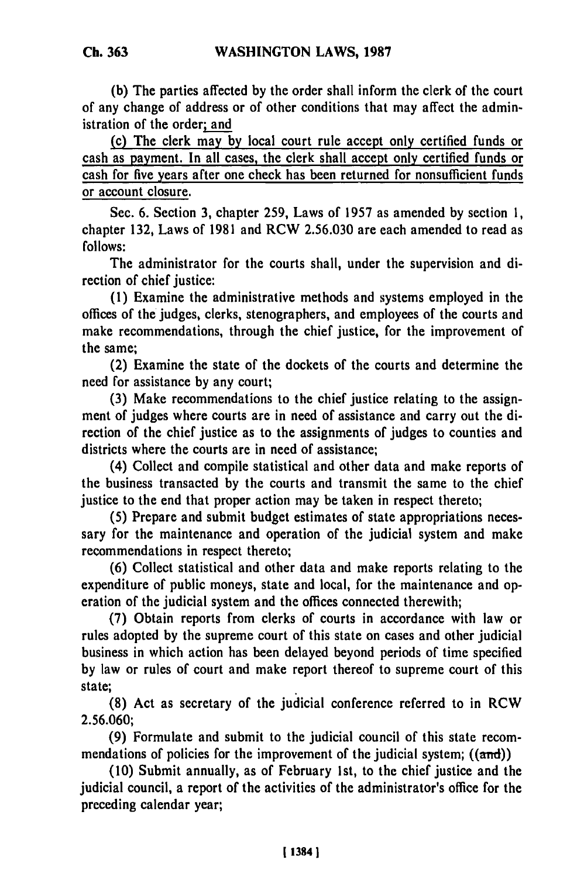**Ch. 363**

**(b)** The parties affected **by** the order shall inform the clerk of the court of any change of address or of other conditions that may affect the administration of the order; and

(c) The clerk may **by** local court rule accept only certified funds or cash as payment. In all cases, the clerk shall accept only certified funds or cash for five years after one check has been returned for nonsufficient funds or account closure.

Sec. 6. Section 3, chapter 259, Laws of 1957 as amended by section 1, chapter 132, Laws of 1981 and RCW 2.56.030 are each amended to read as follows:

The administrator for the courts shall, under the supervision and direction of chief justice:

(1) Examine the administrative methods and systems employed in the offices of the judges, clerks, stenographers, and employees of the courts and make recommendations, through the chief justice, for the improvement of the same;

(2) Examine the state of the dockets of the courts and determine the need for assistance by any court;

**(3)** Make recommendations to the chief justice relating to the assignment of judges where courts are in need of assistance and carry out the direction of the chief justice as to the assignments of judges to counties and districts where the courts are in need of assistance;

(4) Collect and compile statistical and other data and make reports of the business transacted by the courts and transmit the same to the chief justice to the end that proper action may be taken in respect thereto;

(5) Prepare and submit budget estimates of state appropriations necessary for the maintenance and operation of the judicial system and make recommendations in respect thereto;

(6) Collect statistical and other data and make reports relating to the expenditure of public moneys, state and local, for the maintenance and operation of the judicial system and the offices connected therewith;

(7) Obtain reports from clerks of courts in accordance with law or rules adopted by the supreme court of this state on cases and other judicial business in which action has been delayed beyond periods of time specified by law or rules of court and make report thereof to supreme court of this state;

(8) Act as secretary of the judicial conference referred to in RCW 2.56.060;

**(9)** Formulate and submit to the judicial council of this state recommendations of policies for the improvement of the judicial system;  $((\text{and}))$ 

(10) Submit annually, as of February 1st, to the chief justice and the judicial council, a report of the activities of the administrator's office for the preceding calendar year;